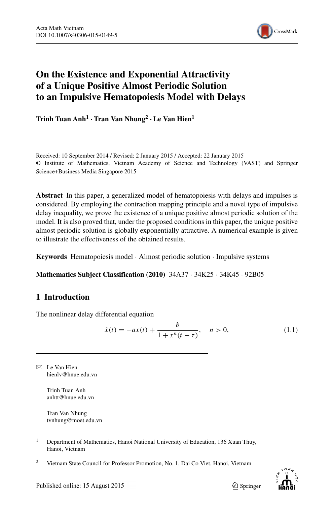

# **On the Existence and Exponential Attractivity of a Unique Positive Almost Periodic Solution to an Impulsive Hematopoiesis Model with Delays**

**Trinh Tuan Anh<sup>1</sup> ·Tran Van Nhung<sup>2</sup> ·Le Van Hien<sup>1</sup>**

Received: 10 September 2014 / Revised: 2 January 2015 / Accepted: 22 January 2015 © Institute of Mathematics, Vietnam Academy of Science and Technology (VAST) and Springer Science+Business Media Singapore 2015

**Abstract** In this paper, a generalized model of hematopoiesis with delays and impulses is considered. By employing the contraction mapping principle and a novel type of impulsive delay inequality, we prove the existence of a unique positive almost periodic solution of the model. It is also proved that, under the proposed conditions in this paper, the unique positive almost periodic solution is globally exponentially attractive. A numerical example is given to illustrate the effectiveness of the obtained results.

**Keywords** Hematopoiesis model · Almost periodic solution · Impulsive systems

**Mathematics Subject Classification (2010)** 34A37 · 34K25 · 34K45 · 92B05

## **1 Introduction**

The nonlinear delay differential equation

<span id="page-0-0"></span>
$$
\dot{x}(t) = -ax(t) + \frac{b}{1 + x^n(t - \tau)}, \quad n > 0,
$$
\n(1.1)

 $\boxtimes$  Le Van Hien [hienlv@hnue.edu.vn](mailto:hienlv@hnue.edu.vn)

> Trinh Tuan Anh [anhtt@hnue.edu.vn](mailto:anhtt@hnue.edu.vn)

Tran Van Nhung [tvnhung@moet.edu.vn](mailto:tvnhung@moet.edu.vn)

- <sup>1</sup> Department of Mathematics, Hanoi National University of Education, 136 Xuan Thuy, Hanoi, Vietnam
- <sup>2</sup> Vietnam State Council for Professor Promotion, No. 1, Dai Co Viet, Hanoi, Vietnam

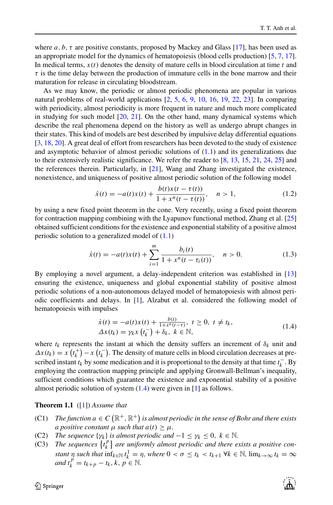where  $a, b, \tau$  are positive constants, proposed by Mackey and Glass [\[17\]](#page-17-0), has been used as an appropriate model for the dynamics of hematopoiesis (blood cells production) [\[5,](#page-16-0) [7,](#page-16-1) [17\]](#page-17-0). In medical terms,  $x(t)$  denotes the density of mature cells in blood circulation at time  $t$  and *τ* is the time delay between the production of immature cells in the bone marrow and their maturation for release in circulating bloodstream.

As we may know, the periodic or almost periodic phenomena are popular in various natural problems of real-world applications [\[2,](#page-16-2) [5,](#page-16-0) [6,](#page-16-3) [9,](#page-17-1) [10,](#page-17-2) [16,](#page-17-3) [19,](#page-17-4) [22,](#page-17-5) [23\]](#page-17-6). In comparing with periodicity, almost periodicity is more frequent in nature and much more complicated in studying for such model [\[20,](#page-17-7) [21\]](#page-17-8). On the other hand, many dynamical systems which describe the real phenomena depend on the history as well as undergo abrupt changes in their states. This kind of models are best described by impulsive delay differential equations [\[3,](#page-16-4) [18,](#page-17-9) [20\]](#page-17-7). A great deal of effort from researchers has been devoted to the study of existence and asymptotic behavior of almost periodic solutions of [\(1.1\)](#page-0-0) and its generalizations due to their extensively realistic significance. We refer the reader to [\[8,](#page-17-10) [13,](#page-17-11) [15,](#page-17-12) [21,](#page-17-8) [24,](#page-17-13) [25\]](#page-17-14) and the references therein. Particularly, in [\[21\]](#page-17-8), Wang and Zhang investigated the existence, nonexistence, and uniqueness of positive almost periodic solution of the following model

$$
\dot{x}(t) = -a(t)x(t) + \frac{b(t)x(t - \tau(t))}{1 + x^n(t - \tau(t))}, \quad n > 1,
$$
\n(1.2)

by using a new fixed point theorem in the cone. Very recently, using a fixed point theorem for contraction mapping combining with the Lyapunov functional method, Zhang et al. [\[25\]](#page-17-14) obtained sufficient conditions for the existence and exponential stability of a positive almost periodic solution to a generalized model of  $(1.1)$ 

$$
\dot{x}(t) = -a(t)x(t) + \sum_{i=1}^{m} \frac{b_i(t)}{1 + x^n(t - \tau_i(t))}, \quad n > 0.
$$
\n(1.3)

By employing a novel argument, a delay-independent criterion was established in [\[13\]](#page-17-11) ensuring the existence, uniqueness and global exponential stability of positive almost periodic solutions of a non-autonomous delayed model of hematopoiesis with almost periodic coefficients and delays. In [\[1\]](#page-16-5), Alzabut et al. considered the following model of hematopoiesis with impulses

<span id="page-1-0"></span>
$$
\begin{aligned} \dot{x}(t) &= -a(t)x(t) + \frac{b(t)}{1+x^n(t-t)}, \ t \ge 0, \ t \ne t_k, \\ \Delta x(t_k) &= \gamma_k x(t_k^-) + \delta_k, \ k \in \mathbb{N}, \end{aligned} \tag{1.4}
$$

where  $t_k$  represents the instant at which the density suffers an increment of  $\delta_k$  unit and  $\Delta x(t_k) = x(t_k^+) - x(t_k^-)$ . The density of mature cells in blood circulation decreases at prescribed instant  $t_k$  by some medication and it is proportional to the density at that time  $t_k^-$ . By employing the contraction mapping principle and applying Gronwall-Bellman's inequality, sufficient conditions which guarantee the existence and exponential stability of a positive almost periodic solution of system [\(1.4\)](#page-1-0) were given in [\[1\]](#page-16-5) as follows.

#### **Theorem 1.1** ([\[1\]](#page-16-5)) *Assume that*

- (C1) *The function*  $a \in C\left(\mathbb{R}^+, \mathbb{R}^+\right)$  *is almost periodic in the sense of Bohr and there exists a positive constant*  $\mu$  *such that*  $a(t) \geq \mu$ *.*
- (C2) *The sequence* { $\gamma_k$ } *is almost periodic and*  $-1 \leq \gamma_k \leq 0$ ,  $k \in \mathbb{N}$ .
- $(C3)$  *The sequences*  $\{t_k^p\}$  $\mathsf{a}^P_k$  are uniformly almost periodic and there exists a positive con*stant η such that*  $\inf_{k \in \mathbb{N}} t_k^1 = \eta$ *, where*  $0 < \sigma \le t_k < t_{k+1} \ \forall k \in \mathbb{N}$ *,*  $\lim_{k \to \infty} t_k = \infty$ *and*  $t_k^p = t_{k+p} - t_k, k, p \in \mathbb{N}$ .

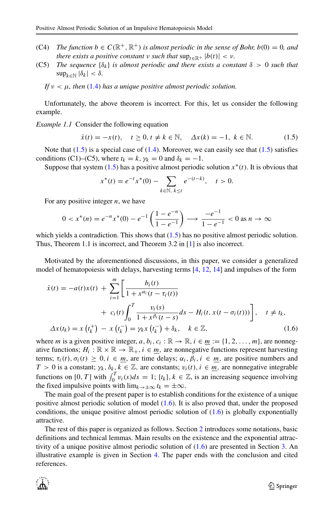- (C4) *The function*  $b \in C(\mathbb{R}^+, \mathbb{R}^+)$  *is almost periodic in the sense of Bohr,*  $b(0) = 0$ *, and there exists a positive constant*  $\nu$  *such that*  $\sup_{t \in \mathbb{R}^+} |b(t)| < \nu$ .
- (C5) *The sequence* {*δk*} *is almost periodic and there exists a constant δ >* 0 *such that* sup*k*∈<sup>N</sup> |*δk*| *< δ.*
	- *If*  $\nu < \mu$ , then [\(1.4\)](#page-1-0) has a unique positive almost periodic solution.

Unfortunately, the above theorem is incorrect. For this, let us consider the following example.

*Example 1.1* Consider the following equation

<span id="page-2-0"></span>
$$
\dot{x}(t) = -x(t), \quad t \ge 0, t \ne k \in \mathbb{N}, \quad \Delta x(k) = -1, \ k \in \mathbb{N}.
$$
 (1.5)

Note that  $(1.5)$  is a special case of  $(1.4)$ . Moreover, we can easily see that  $(1.5)$  satisfies conditions (C1)–(C5), where  $t_k = k$ ,  $\gamma_k = 0$  and  $\delta_k = -1$ .

Suppose that system  $(1.5)$  has a positive almost periodic solution  $x^*(t)$ . It is obvious that

$$
x^*(t) = e^{-t}x^*(0) - \sum_{k \in \mathbb{N}, k \le t} e^{-(t-k)}, \quad t > 0.
$$

For any positive integer *n*, we have

$$
0 < x^*(n) = e^{-n}x^*(0) - e^{-1}\left(\frac{1 - e^{-n}}{1 - e^{-1}}\right) \longrightarrow \frac{-e^{-1}}{1 - e^{-1}} < 0 \text{ as } n \to \infty
$$

which yields a contradiction. This shows that  $(1.5)$  has no positive almost periodic solution. Thus, Theorem 1.1 is incorrect, and Theorem 3.2 in [\[1\]](#page-16-5) is also incorrect.

Motivated by the aforementioned discussions, in this paper, we consider a generalized model of hematopoiesis with delays, harvesting terms [\[4,](#page-16-6) [12,](#page-17-15) [14\]](#page-17-16) and impulses of the form

<span id="page-2-1"></span>
$$
\dot{x}(t) = -a(t)x(t) + \sum_{i=1}^{m} \left[ \frac{b_i(t)}{1 + x^{\alpha_i}(t - \tau_i(t))} + c_i(t) \int_0^T \frac{v_i(s)}{1 + x^{\beta_i}(t - s)} ds - H_i(t, x(t - \sigma_i(t))) \right], \quad t \neq t_k,
$$
  

$$
\Delta x(t_k) = x(t_k^+) - x(t_k^-) = \gamma_k x(t_k^-) + \delta_k, \quad k \in \mathbb{Z}, \tag{1.6}
$$

where *m* is a given positive integer, *a*,  $b_i$ ,  $c_i$ :  $\mathbb{R} \to \mathbb{R}$ ,  $i \in \underline{m} := \{1, 2, \ldots, m\}$ , are nonnegative functions;  $H_i : \mathbb{R} \times \mathbb{R} \to \mathbb{R}_+, i \in \underline{m}$ , are nonnegative functions represent harvesting terms;  $\tau_i(t), \sigma_i(t) \geq 0, i \in m$ , are time delays;  $\alpha_i, \beta_i, i \in m$ , are positive numbers and *T* > 0 is a constant;  $\gamma_k, \delta_k, k \in \mathbb{Z}$ , are constants;  $v_i(t), i \in \underline{m}$ , are nonnegative integrable functions on [0, T] with  $\int_0^T v_i(s)ds = 1$ ;  $\{t_k\}, k \in \mathbb{Z}$ , is an increasing sequence involving the fixed impulsive points with  $\lim_{k \to \pm \infty} t_k = \pm \infty$ .

The main goal of the present paper is to establish conditions for the existence of a unique positive almost periodic solution of model [\(1.6\)](#page-2-1). It is also proved that, under the proposed conditions, the unique positive almost periodic solution of [\(1.6\)](#page-2-1) is globally exponentially attractive.

The rest of this paper is organized as follows. Section [2](#page-3-0) introduces some notations, basic definitions and technical lemmas. Main results on the existence and the exponential attractivity of a unique positive almost periodic solution of  $(1.6)$  are presented in Section [3.](#page-7-0) An illustrative example is given in Section [4.](#page-15-0) The paper ends with the conclusion and cited references.

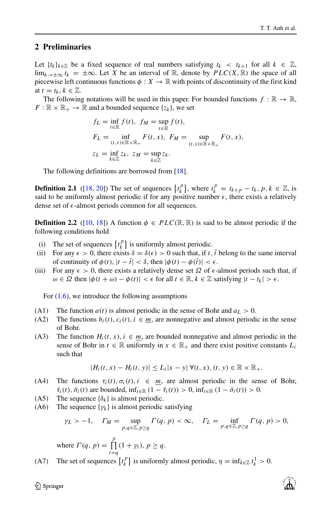#### <span id="page-3-0"></span>**2 Preliminaries**

Let  $\{t_k\}_{k\in\mathbb{Z}}$  be a fixed sequence of real numbers satisfying  $t_k < t_{k+1}$  for all  $k \in \mathbb{Z}$ , lim<sub>*k*→±∞  $t_k$  = ±∞. Let *X* be an interval of R, denote by  $PLC(X, R)$  the space of all</sub> piecewise left continuous functions  $\phi: X \to \mathbb{R}$  with points of discontinuity of the first kind at  $t = t_k, k \in \mathbb{Z}$ .

The following notations will be used in this paper. For bounded functions  $f : \mathbb{R} \to \mathbb{R}$ ,  $F: \mathbb{R} \times \mathbb{R}_+ \to \mathbb{R}$  and a bounded sequence  $\{z_k\}$ , we set

$$
f_L = \inf_{t \in \mathbb{R}} f(t), \ f_M = \sup_{t \in \mathbb{R}} f(t),
$$
  
\n
$$
F_L = \inf_{(t,x) \in \mathbb{R} \times \mathbb{R}_+} F(t,x), \ F_M = \sup_{(t,x) \in \mathbb{R} \times \mathbb{R}_+} F(t,x),
$$
  
\n
$$
z_L = \inf_{k \in \mathbb{Z}} z_k, \ z_M = \sup_{k \in \mathbb{Z}} z_k.
$$

The following definitions are borrowed from [\[18\]](#page-17-9).

**Definition 2.1** ([\[18,](#page-17-9) [20\]](#page-17-7)) The set of sequences  $\{t_k^p\}$  $\binom{p}{k}$ , where  $t_k^p = t_{k+p} - t_k$ ,  $p, k \in \mathbb{Z}$ , is said to be uniformly almost periodic if for any positive number  $\epsilon$ , there exists a relatively dense set of -almost periods common for all sequences.

**Definition 2.2** ([\[10,](#page-17-2) [18\]](#page-17-9)) A function  $\phi \in PLC(\mathbb{R}, \mathbb{R})$  is said to be almost periodic if the following conditions hold

- (i) The set of sequences  $\{t_k^p\}$  $\left\{ \begin{array}{c} P \\ k \end{array} \right\}$  is uniformly almost periodic.
- (ii) For any  $\epsilon > 0$ , there exists  $\delta = \delta(\epsilon) > 0$  such that, if *t*, *t* belong to the same interval of continuity of  $\phi(t)$ ,  $|t - \bar{t}| < \delta$ , then  $|\phi(t) - \phi(\bar{t})| < \epsilon$ .
- (iii) For any  $\epsilon > 0$ , there exists a relatively dense set  $\Omega$  of  $\epsilon$ -almost periods such that, if  $\omega \in \Omega$  then  $|\phi(t + \omega) - \phi(t)| < \epsilon$  for all  $t \in \mathbb{R}$ ,  $k \in \mathbb{Z}$  satisfying  $|t - t_k| > \epsilon$ .

For  $(1.6)$ , we introduce the following assumptions

- (A1) The function  $a(t)$  is almost periodic in the sense of Bohr and  $a<sub>L</sub> > 0$ .
- (A2) The functions  $b_i(t)$ ,  $c_i(t)$ ,  $i \in \underline{m}$ , are nonnegative and almost periodic in the sense of Bohr.
- (A3) The function  $H_i(t, x)$ ,  $i \in m$ , are bounded nonnegative and almost periodic in the sense of Bohr in  $t \in \mathbb{R}$  uniformly in  $x \in \mathbb{R}_+$  and there exist positive constants  $L_i$ such that

$$
|H_i(t,x)-H_i(t,y)|\leq L_i|x-y|\,\forall (t,x), (t,y)\in\mathbb{R}\times\mathbb{R}_+.
$$

- (A4) The functions  $\tau_i(t), \sigma_i(t), i \in m$ , are almost periodic in the sense of Bohr,  $\dot{\tau}_i(t), \dot{\sigma}_i(t)$  are bounded,  $\inf_{t \in \mathbb{R}} (1 - \dot{\tau}_i(t)) > 0$ ,  $\inf_{t \in \mathbb{R}} (1 - \dot{\sigma}_i(t)) > 0$ .
- (A5) The sequence  $\{\delta_k\}$  is almost periodic.
- (A6) The sequence  $\{\gamma_k\}$  is almost periodic satisfying

$$
\gamma_L > -1
$$
,  $\Gamma_M = \sup_{p,q \in \mathbb{Z}, p \ge q} \Gamma(q, p) < \infty$ ,  $\Gamma_L = \inf_{p,q \in \mathbb{Z}, p \ge q} \Gamma(q, p) > 0$ ,

where  $\Gamma(q, p) = \prod^p$  $\prod_{i=q} (1 + \gamma_i), p \geq q.$ 

(A7) The set of sequences  $\{t_k^p\}$  $\left\{ \int_{k}^{p} \right\}$  is uniformly almost periodic,  $\eta = \inf_{k \in \mathbb{Z}} t_k^1 > 0$ .

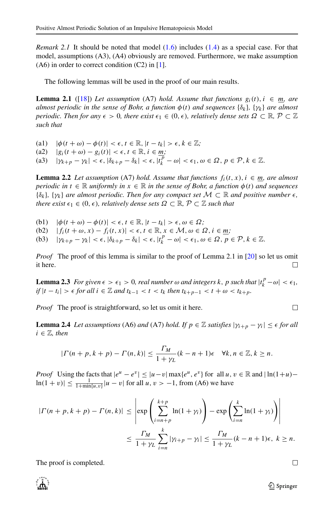*Remark 2.1* It should be noted that model [\(1.6\)](#page-2-1) includes [\(1.4\)](#page-1-0) as a special case. For that model, assumptions (A3), (A4) obviously are removed. Furthermore, we make assumption  $(A6)$  in order to correct condition  $(C2)$  in [\[1\]](#page-16-5).

The following lemmas will be used in the proof of our main results.

**Lemma 2.1** ([\[18\]](#page-17-9)) Let assumption (A7) hold. Assume that functions  $g_i(t)$ ,  $i \in m$ , are *almost periodic in the sense of Bohr, a function*  $\phi(t)$  *and sequences*  $\{\delta_k\}$ *,*  $\{\gamma_k\}$  *are almost periodic. Then for any*  $\epsilon > 0$ , there exist  $\epsilon_1 \in (0, \epsilon)$ , relatively dense sets  $\Omega \subset \mathbb{R}, \mathcal{P} \subset \mathbb{Z}$ *such that*

- (a1)  $|\phi(t + \omega) \phi(t)| < \epsilon, t \in \mathbb{R}, |t t_k| > \epsilon, k \in \mathbb{Z}$ ;
- $|g_i(t + \omega) g_i(t)| < \epsilon, t \in \mathbb{R}, i \in \underline{m};$

(a3)  $|\gamma_{k+p} - \gamma_k| < \epsilon, |\delta_{k+p} - \delta_k| < \epsilon, |\overline{t}_k^p - \omega| < \epsilon_1, \omega \in \Omega, p \in \mathcal{P}, k \in \mathbb{Z}.$ 

**Lemma 2.2** *Let assumption* (A7) *hold.* Assume that functions  $f_i(t, x)$ ,  $i \in m$ , are almost *periodic in*  $t \in \mathbb{R}$  *uniformly in*  $x \in \mathbb{R}$  *in the sense of Bohr, a function*  $\phi(t)$  *and sequences*  ${\{\delta_k\}}$ ,  ${\{\gamma_k\}}$  *are almost periodic. Then for any compact set*  $M \subset \mathbb{R}$  *and positive number*  $\epsilon$ *, there exist*  $\epsilon_1 \in (0, \epsilon)$ *, relatively dense sets*  $\Omega \subset \mathbb{R}, \mathcal{P} \subset \mathbb{Z}$  *such that* 

- (b1)  $|\phi(t + \omega) \phi(t)| < \epsilon, t \in \mathbb{R}, |t t_k| > \epsilon, \omega \in \Omega;$
- (b2)  $|f_i(t + \omega, x) f_i(t, x)| < \epsilon, t \in \mathbb{R}, x \in \mathcal{M}, \omega \in \Omega, i \in \underline{m}$ ;
- (b3)  $| \gamma_{k+p} \gamma_k | < \epsilon, |\delta_{k+p} \delta_k| < \epsilon, |t_k^p \omega| < \epsilon_1, \omega \in \Omega, p \in \mathcal{P}, k \in \mathbb{Z}.$

*Proof* The proof of this lemma is similar to the proof of Lemma 2.1 in [\[20\]](#page-17-7) so let us omit it here. П

**Lemma 2.3** *For given*  $\epsilon > \epsilon_1 > 0$ *, real number*  $\omega$  *and integers*  $k$ *, p such that*  $|t_k^p - \omega| < \epsilon_1$ *, if*  $|t - t_i| > \epsilon$  *for all*  $i \in \mathbb{Z}$  *and*  $t_{k-1} < t < t_k$  *then*  $t_{k+p-1} < t + \omega < t_{k+p}$ *.* 

*Proof* The proof is straightforward, so let us omit it here.

**Lemma 2.4** *Let assumptions* (A6) *and* (A7) *hold. If*  $p \in \mathbb{Z}$  *satisfies*  $|\gamma_{i+p} - \gamma_i| \leq \epsilon$  *for all*  $i \in \mathbb{Z}$ , then

$$
|\Gamma(n+p, k+p) - \Gamma(n, k)| \le \frac{\Gamma_M}{1+\gamma_L} (k-n+1)\epsilon \quad \forall k, n \in \mathbb{Z}, k \ge n.
$$

*Proof* Using the facts that  $|e^u - e^v| \le |u - v| \max\{e^u, e^v\}$  for all  $u, v \in \mathbb{R}$  and  $|\ln(1+u) \ln(1 + v) \le \frac{1}{1 + \min\{u, v\}} |u - v|$  for all *u*,  $v > -1$ , from (A6) we have

$$
|\Gamma(n+p, k+p) - \Gamma(n, k)| \le \left| \exp\left(\sum_{i=n+p}^{k+p} \ln(1+\gamma_i)\right) - \exp\left(\sum_{i=n}^{k} \ln(1+\gamma_i)\right) \right|
$$
  

$$
\le \frac{\Gamma_M}{1+\gamma_L} \sum_{i=n}^{k} |\gamma_{i+p} - \gamma_i| \le \frac{\Gamma_M}{1+\gamma_L} (k-n+1)\epsilon, \ k \ge n.
$$

The proof is completed.



П

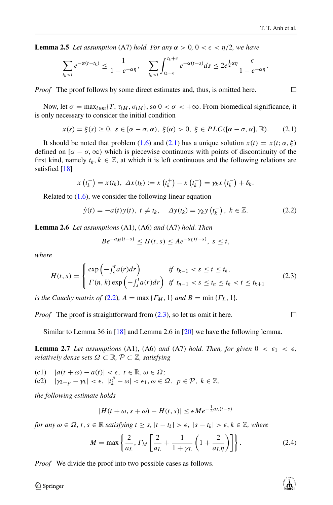$\Box$ 

**Lemma 2.5** *Let assumption* (A7) *hold. For any*  $\alpha > 0$ ,  $0 < \epsilon < \frac{n}{2}$ , we have

$$
\sum_{t_k < t} e^{-\alpha(t-t_k)} \leq \frac{1}{1 - e^{-\alpha\eta}}, \quad \sum_{t_k < t} \int_{t_k - \epsilon}^{t_k + \epsilon} e^{-\alpha(t-s)} ds \leq 2e^{\frac{1}{2}\alpha\eta} \frac{\epsilon}{1 - e^{-\alpha\eta}}.
$$

*Proof* The proof follows by some direct estimates and, thus, is omitted here.

Now, let  $\sigma = \max_{i \in \underline{m}} \{T, \tau_{iM}, \sigma_{iM}\}\$ , so  $0 < \sigma < +\infty$ . From biomedical significance, it is only necessary to consider the initial condition

<span id="page-5-0"></span>
$$
x(s) = \xi(s) \ge 0, \ s \in [\alpha - \sigma, \alpha), \ \xi(\alpha) > 0, \ \xi \in PLC([\alpha - \sigma, \alpha], \mathbb{R}).\tag{2.1}
$$

It should be noted that problem [\(1.6\)](#page-2-1) and [\(2.1\)](#page-5-0) has a unique solution  $x(t) = x(t; \alpha, \xi)$ defined on  $[\alpha - \sigma, \infty)$  which is piecewise continuous with points of discontinuity of the first kind, namely  $t_k, k \in \mathbb{Z}$ , at which it is left continuous and the following relations are satisfied [\[18\]](#page-17-9)

$$
x(t_k^-) = x(t_k), \ \Delta x(t_k) := x(t_k^+) - x(t_k^-) = \gamma_k x(t_k^-) + \delta_k.
$$

Related to [\(1.6\)](#page-2-1), we consider the following linear equation

<span id="page-5-1"></span>
$$
\dot{y}(t) = -a(t)y(t), \ t \neq t_k, \quad \Delta y(t_k) = \gamma_k y(t_k^-), \ k \in \mathbb{Z}.
$$
 (2.2)

**Lemma 2.6** *Let assumptions* (A1), (A6) *and* (A7) *hold. Then*

$$
Be^{-a_M(t-s)} \le H(t,s) \le Ae^{-a_L(t-s)}, \ s \le t,
$$

*where*

<span id="page-5-2"></span>
$$
H(t,s) = \begin{cases} \exp\left(-\int_s^t a(r)dr\right) & \text{if } t_{k-1} < s \le t \le t_k, \\ \Gamma(n,k) \exp\left(-\int_s^t a(r)dr\right) & \text{if } t_{n-1} < s \le t_n \le t_k < t \le t_{k+1} \end{cases} \tag{2.3}
$$

*is the Cauchy matrix of* [\(2.2\)](#page-5-1),  $A = \max\{F_M, 1\}$  *and*  $B = \min\{F_L, 1\}$ .

*Proof* The proof is straightforward from  $(2.3)$ , so let us omit it here.

Similar to Lemma 36 in [\[18\]](#page-17-9) and Lemma 2.6 in [\[20\]](#page-17-7) we have the following lemma.

**Lemma 2.7** *Let assumptions* (A1), (A6) *and* (A7) *hold. Then, for given*  $0 < \epsilon_1 < \epsilon$ , *relatively dense sets*  $\Omega \subset \mathbb{R}, \mathcal{P} \subset \mathbb{Z}$ *, satisfying* 

(c1)  $|a(t + \omega) - a(t)| < \epsilon, t \in \mathbb{R}, \omega \in \Omega;$ <br>(c2)  $|\gamma_{k+n} - \gamma_k| < \epsilon, |t_k^p - \omega| < \epsilon_1, \omega \in \Omega$ (c2)  $|\gamma_{k+p} - \gamma_k| < \epsilon, \ |t_k^p - \omega| < \epsilon_1, \ \omega \in \Omega, \ p \in \mathcal{P}, \ k \in \mathbb{Z},$ 

*the following estimate holds*

$$
|H(t + \omega, s + \omega) - H(t, s)| \le \epsilon M e^{-\frac{1}{2}a_L(t - s)}
$$

*for any*  $\omega \in \Omega$ ,  $t, s \in \mathbb{R}$  *satisfying*  $t \geq s$ ,  $|t - t_k| > \epsilon$ ,  $|s - t_k| > \epsilon$ ,  $k \in \mathbb{Z}$ , where

<span id="page-5-3"></span>
$$
M = \max\left\{\frac{2}{a_L}, \Gamma_M\left[\frac{2}{a_L} + \frac{1}{1 + \gamma_L}\left(1 + \frac{2}{a_L\eta}\right)\right]\right\}.
$$
 (2.4)

*Proof* We divide the proof into two possible cases as follows.

 $\mathcal{D}$  Springer



 $\Box$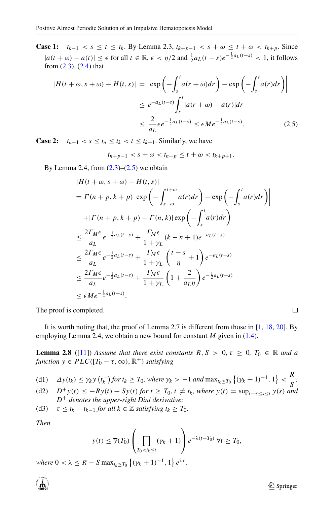**Case 1:**  $t_{k-1} < s \le t \le t_k$ . By Lemma 2.3,  $t_{k+p-1} < s + \omega \le t + \omega < t_{k+p}$ . Since  $|a(t + \omega) - a(t)| \leq \epsilon$  for all  $t \in \mathbb{R}$ ,  $\epsilon < \eta/2$  and  $\frac{1}{2} a_L(t - s) e^{-\frac{1}{2} a_L(t - s)} < 1$ , it follows from [\(2.3\)](#page-5-2), [\(2.4\)](#page-5-3) that

<span id="page-6-0"></span>
$$
|H(t + \omega, s + \omega) - H(t, s)| = \left| \exp\left(-\int_s^t a(r + \omega) dr\right) - \exp\left(-\int_s^t a(r) dr\right) \right|
$$
  

$$
\leq e^{-a_L(t-s)} \int_s^t |a(r + \omega) - a(r)| dr
$$
  

$$
\leq \frac{2}{a_L} \epsilon e^{-\frac{1}{2} a_L(t-s)} \leq \epsilon M e^{-\frac{1}{2} a_L(t-s)}.
$$
 (2.5)

**Case 2:**  $t_{n-1} < s \le t_n \le t_k < t \le t_{k+1}$ . Similarly, we have

 $t_{n+p-1} < s + \omega < t_{n+p} \leq t + \omega < t_{k+p+1}$ .

By Lemma 2.4, from  $(2.3)$ – $(2.5)$  we obtain

$$
|H(t + \omega, s + \omega) - H(t, s)|
$$
  
=  $\Gamma(n + p, k + p) \left| \exp\left(-\int_{s+\omega}^{t+\omega} a(r) dr\right) - \exp\left(-\int_{s}^{t} a(r) dr\right) \right|$   
+  $| \Gamma(n + p, k + p) - \Gamma(n, k) | \exp\left(-\int_{s}^{t} a(r) dr\right)$   
 $\leq \frac{2\Gamma_M \epsilon}{a_L} e^{-\frac{1}{2} a_L(t-s)} + \frac{\Gamma_M \epsilon}{1+\gamma_L} (k - n + 1) e^{-a_L(t-s)}$   
 $\leq \frac{2\Gamma_M \epsilon}{a_L} e^{-\frac{1}{2} a_L(t-s)} + \frac{\Gamma_M \epsilon}{1+\gamma_L} \left(\frac{t-s}{\eta} + 1\right) e^{-a_L(t-s)}$   
 $\leq \frac{2\Gamma_M \epsilon}{a_L} e^{-\frac{1}{2} a_L(t-s)} + \frac{\Gamma_M \epsilon}{1+\gamma_L} \left(1 + \frac{2}{a_L \eta}\right) e^{-\frac{1}{2} a_L(t-s)}$   
 $\leq \epsilon M e^{-\frac{1}{2} a_L(t-s)}.$ 

The proof is completed.

It is worth noting that, the proof of Lemma 2.7 is different from those in [\[1,](#page-16-5) [18,](#page-17-9) [20\]](#page-17-7). By employing Lemma 2.4, we obtain a new bound for constant *M* given in [\(1.4\)](#page-1-0).

**Lemma 2.8** ([\[11\]](#page-17-17)) *Assume that there exist constants*  $R, S > 0, \tau \geq 0, T_0 \in \mathbb{R}$  *and a function*  $y \in PLC([T_0 - \tau, \infty), \mathbb{R}^+)$  *satisfying* 

(d1) 
$$
\Delta y(t_k) \leq \gamma_k y(t_k^-)
$$
 for  $t_k \geq T_0$ , where  $\gamma_k > -1$  and  $\max_{t_k \geq T_0} \left\{ (\gamma_k + 1)^{-1}, 1 \right\} < \frac{R}{S}$ ;

- (d2)  $D^+y(t) \leq -Ry(t) + S\bar{y}(t)$  *for*  $t ≥ T_0, t ≠ t_k$ *, where*  $\bar{y}(t) = \sup_{t-\tau \leq s \leq t} y(s)$  *and D*+ *denotes the upper-right Dini derivative;*
- (d3)  $\tau \leq t_k t_{k-1}$  *for all*  $k \in \mathbb{Z}$  *satisfying*  $t_k \geq T_0$ *.*

*Then*

$$
y(t) \leq \overline{y}(T_0) \left( \prod_{T_0 < t_k \leq t} (\gamma_k + 1) \right) e^{-\lambda(t - T_0)} \ \forall t \geq T_0,
$$

 $where \ 0 < \lambda \leq R - S \max_{t_k \geq T_0} \left\{ (\gamma_k + 1)^{-1}, \ 1 \right\} e^{\lambda \tau}.$ 



 $\Box$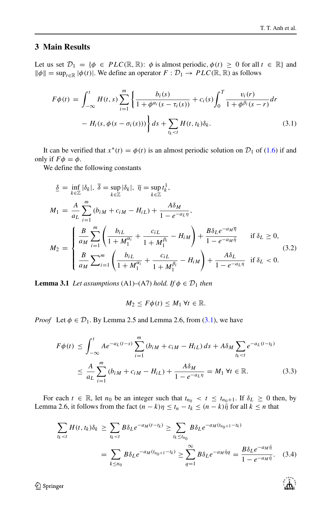႞ၟၯႃ

### <span id="page-7-0"></span>**3 Main Results**

Let us set  $\mathcal{D}_1 = \{\phi \in PLC(\mathbb{R}, \mathbb{R})\colon \phi \text{ is almost periodic, } \phi(t) \geq 0 \text{ for all } t \in \mathbb{R} \}$  and  $\|\phi\| = \sup_{t \in \mathbb{R}} |\phi(t)|$ . We define an operator  $F : \mathcal{D}_1 \to PLC(\mathbb{R}, \mathbb{R})$  as follows

<span id="page-7-1"></span>
$$
F\phi(t) = \int_{-\infty}^{t} H(t,s) \sum_{i=1}^{m} \left\{ \frac{b_i(s)}{1 + \phi^{\alpha_i}(s - \tau_i(s))} + c_i(s) \int_0^T \frac{v_i(r)}{1 + \phi^{\beta_i}(s - r)} dr - H_i(s, \phi(s - \sigma_i(s))) \right\} ds + \sum_{t_k < t} H(t, t_k) \delta_k.
$$
 (3.1)

It can be verified that  $x^*(t) = \phi(t)$  is an almost periodic solution on  $\mathcal{D}_1$  of [\(1.6\)](#page-2-1) if and only if  $F\phi = \phi$ .

We define the following constants

<span id="page-7-3"></span>
$$
\underline{\delta} = \inf_{k \in \mathbb{Z}} |\delta_k|, \ \overline{\delta} = \sup_{k \in \mathbb{Z}} |\delta_k|, \ \overline{\eta} = \sup_{k \in \mathbb{Z}} t_k^1,
$$
\n
$$
M_1 = \frac{A}{a_L} \sum_{i=1}^m (b_{iM} + c_{iM} - H_{iL}) + \frac{A\delta_M}{1 - e^{-a_L \eta}},
$$
\n
$$
M_2 = \begin{cases}\n\frac{B}{a_M} \sum_{i=1}^m \left( \frac{b_{iL}}{1 + M_1^{\alpha_i}} + \frac{c_{iL}}{1 + M_1^{\beta_i}} - H_{iM} \right) + \frac{B\delta_L e^{-a_M \overline{\eta}}}{1 - e^{-a_M \overline{\eta}}} & \text{if } \delta_L \ge 0, \\
\frac{B}{a_M} \sum_{i=1}^m \left( \frac{b_{iL}}{1 + M_1^{\alpha_i}} + \frac{c_{iL}}{1 + M_1^{\beta_i}} - H_{iM} \right) + \frac{A\delta_L}{1 - e^{-a_L \eta}} & \text{if } \delta_L < 0.\n\end{cases} \tag{3.2}
$$

**Lemma 3.1** *Let assumptions* (A1)–(A7) *hold. If*  $\phi \in \mathcal{D}_1$  *then* 

$$
M_2 \leq F\phi(t) \leq M_1 \,\forall t \in \mathbb{R}.
$$

*Proof* Let  $\phi \in \mathcal{D}_1$ . By Lemma 2.5 and Lemma 2.6, from [\(3.1\)](#page-7-1), we have

$$
F\phi(t) \le \int_{-\infty}^{t} Ae^{-a_L(t-s)} \sum_{i=1}^{m} (b_{iM} + c_{iM} - H_{iL}) ds + A\delta_M \sum_{t_k < t} e^{-a_L(t-t_k)}
$$
  

$$
\le \frac{A}{a_L} \sum_{i=1}^{m} (b_{iM} + c_{iM} - H_{iL}) + \frac{A\delta_M}{1 - e^{-a_L \eta}} = M_1 \forall t \in \mathbb{R}.
$$
 (3.3)

For each  $t \in \mathbb{R}$ , let  $n_0$  be an integer such that  $t_{n_0} < t \leq t_{n_0+1}$ . If  $\delta_L \geq 0$  then, by Lemma 2.6, it follows from the fact  $(n - k)\eta \le t_n - t_k \le (n - k)\overline{\eta}$  for all  $k \le n$  that

<span id="page-7-2"></span>
$$
\sum_{t_k < t} H(t, t_k) \delta_k \ge \sum_{t_k < t} B \delta_L e^{-a_M(t - t_k)} \ge \sum_{t_k \le t_{n_0}} B \delta_L e^{-a_M(t_{n_0+1} - t_k)}
$$
\n
$$
= \sum_{k \le n_0} B \delta_L e^{-a_M(t_{n_0+1} - t_k)} \ge \sum_{q=1}^{\infty} B \delta_L e^{-a_M \bar{\eta}q} = \frac{B \delta_L e^{-a_M \bar{\eta}}}{1 - e^{-a_M \bar{\eta}}}.\tag{3.4}
$$

2 Springer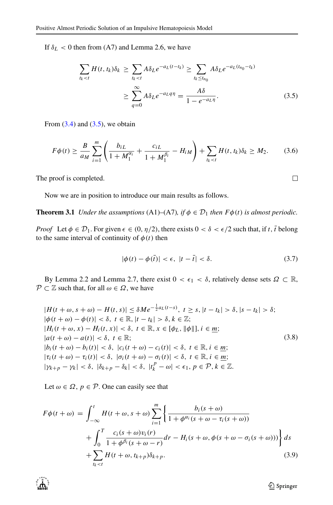If  $\delta_L$  < 0 then from (A7) and Lemma 2.6, we have

<span id="page-8-0"></span>
$$
\sum_{t_k < t} H(t, t_k) \delta_k \ge \sum_{t_k < t} A \delta_L e^{-a_L(t - t_k)} \ge \sum_{t_k \le t_{n_0}} A \delta_L e^{-a_L(t_{n_0} - t_k)}
$$
\n
$$
\ge \sum_{q=0}^{\infty} A \delta_L e^{-a_L q \eta} = \frac{A \delta}{1 - e^{-a_L \eta}}. \tag{3.5}
$$

From  $(3.4)$  and  $(3.5)$ , we obtain

$$
F\phi(t) \ge \frac{B}{a_M} \sum_{i=1}^m \left( \frac{b_{iL}}{1 + M_1^{\alpha_i}} + \frac{c_{iL}}{1 + M_1^{\beta_i}} - H_{iM} \right) + \sum_{t_k < t} H(t, t_k) \delta_k \ge M_2. \tag{3.6}
$$

The proof is completed.

Now we are in position to introduce our main results as follows.

**Theorem 3.1** *Under the assumptions* (A1)–(A7)*, if*  $\phi \in \mathcal{D}_1$  *then*  $F\phi(t)$  *is almost periodic.* 

*Proof* Let  $\phi \in \mathcal{D}_1$ . For given  $\epsilon \in (0, \eta/2)$ , there exists  $0 < \delta < \epsilon/2$  such that, if *t*, *t* belong to the same interval of continuity of  $\phi(t)$  then

$$
|\phi(t) - \phi(\bar{t})| < \epsilon, \ |t - \bar{t}| < \delta. \tag{3.7}
$$

By Lemma 2.2 and Lemma 2.7, there exist  $0 < \epsilon_1 < \delta$ , relatively dense sets  $\Omega \subset \mathbb{R}$ ,  $P \subset \mathbb{Z}$  such that, for all  $\omega \in \Omega$ , we have

<span id="page-8-1"></span>
$$
|H(t + \omega, s + \omega) - H(t, s)| \leq \delta M e^{-\frac{1}{2}a_L(t - s)}, t \geq s, |t - t_k| > \delta, |s - t_k| > \delta;
$$
  
\n
$$
|\phi(t + \omega) - \phi(t)| < \delta, t \in \mathbb{R}, |t - t_k| > \delta, k \in \mathbb{Z};
$$
  
\n
$$
|H_i(t + \omega, x) - H_i(t, x)| < \delta, t \in \mathbb{R}, x \in [\phi_L, \|\phi\|], i \in \underline{m};
$$
  
\n
$$
|a(t + \omega) - a(t)| < \delta, t \in \mathbb{R};
$$
  
\n
$$
|b_i(t + \omega) - b_i(t)| < \delta, |c_i(t + \omega) - c_i(t)| < \delta, t \in \mathbb{R}, i \in \underline{m};
$$
  
\n
$$
|\tau_i(t + \omega) - \tau_i(t)| < \delta, |\sigma_i(t + \omega) - \sigma_i(t)| < \delta, t \in \mathbb{R}, i \in \underline{m};
$$
  
\n
$$
|\gamma_{k+p} - \gamma_k| < \delta, |\delta_{k+p} - \delta_k| < \delta, |t_k^p - \omega| < \epsilon_1, p \in \mathcal{P}, k \in \mathbb{Z}.
$$
  
\n(3.8)

Let  $\omega \in \Omega$ ,  $p \in \mathcal{P}$ . One can easily see that

$$
F\phi(t+\omega) = \int_{-\infty}^{t} H(t+\omega, s+\omega) \sum_{i=1}^{m} \left\{ \frac{b_i(s+\omega)}{1 + \phi^{\alpha_i}(s+\omega - \tau_i(s+\omega))} + \int_{0}^{T} \frac{c_i(s+\omega)v_i(r)}{1 + \phi^{\beta_i}(s+\omega-r)} dr - H_i(s+\omega, \phi(s+\omega-\sigma_i(s+\omega))) \right\} ds + \sum_{t_k < t} H(t+\omega, t_{k+p}) \delta_{k+p}.
$$
\n(3.9)



**◯** Springer

 $\Box$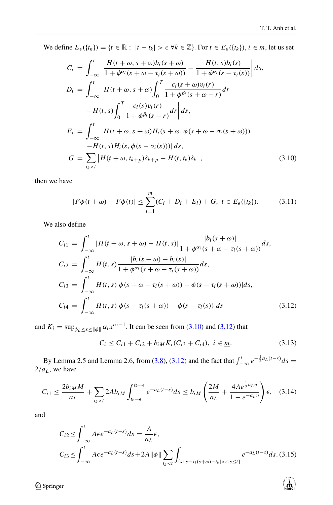्री के

We define  $E_{\epsilon}(\{t_k\}) = \{t \in \mathbb{R} : |t - t_k| > \epsilon \ \forall k \in \mathbb{Z}\}$ . For  $t \in E_{\epsilon}(\{t_k\}), i \in \mathbb{m}$ , let us set

<span id="page-9-0"></span>
$$
C_{i} = \int_{-\infty}^{t} \left| \frac{H(t + \omega, s + \omega)b_{i}(s + \omega)}{1 + \phi^{\alpha_{i}}(s + \omega - \tau_{i}(s + \omega))} - \frac{H(t, s)b_{i}(s)}{1 + \phi^{\alpha_{i}}(s - \tau_{i}(s))} \right| ds,
$$
  
\n
$$
D_{i} = \int_{-\infty}^{t} \left| H(t + \omega, s + \omega) \int_{0}^{T} \frac{c_{i}(s + \omega)v_{i}(r)}{1 + \phi^{\beta_{i}}(s + \omega - r)} dr -H(t, s) \int_{0}^{T} \frac{c_{i}(s)v_{i}(r)}{1 + \phi^{\beta_{i}}(s - r)} dr \right| ds,
$$
  
\n
$$
E_{i} = \int_{-\infty}^{t} |H(t + \omega, s + \omega)H_{i}(s + \omega, \phi(s + \omega - \sigma_{i}(s + \omega))) -H(t, s)H_{i}(s, \phi(s - \sigma_{i}(s)))| ds,
$$
  
\n
$$
G = \sum_{t_{k} < t} |H(t + \omega, t_{k+p})\delta_{k+p} - H(t, t_{k})\delta_{k}|,
$$
\n(3.10)

then we have

<span id="page-9-4"></span>
$$
|F\phi(t+\omega) - F\phi(t)| \le \sum_{i=1}^{m} (C_i + D_i + E_i) + G, \ t \in E_{\epsilon}(\{t_k\}).
$$
 (3.11)

We also define

<span id="page-9-1"></span>
$$
C_{i1} = \int_{-\infty}^{t} |H(t + \omega, s + \omega) - H(t, s)| \frac{|b_{i}(s + \omega)|}{1 + \phi^{\alpha_{i}}(s + \omega - \tau_{i}(s + \omega))} ds,
$$
  
\n
$$
C_{i2} = \int_{-\infty}^{t} H(t, s) \frac{|b_{i}(s + \omega) - b_{i}(s)|}{1 + \phi^{\alpha_{i}}(s + \omega - \tau_{i}(s + \omega))} ds,
$$
  
\n
$$
C_{i3} = \int_{-\infty}^{t} H(t, s) |\phi(s + \omega - \tau_{i}(s + \omega)) - \phi(s - \tau_{i}(s + \omega))| ds,
$$
  
\n
$$
C_{i4} = \int_{-\infty}^{t} H(t, s) |\phi(s - \tau_{i}(s + \omega)) - \phi(s - \tau_{i}(s))| ds
$$
\n(3.12)

and  $K_i = \sup_{\phi_L \leq x \leq \|\phi\|} \alpha_i x^{\alpha_i-1}$ . It can be seen from [\(3.10\)](#page-9-0) and [\(3.12\)](#page-9-1) that

<span id="page-9-3"></span>
$$
C_i \le C_{i1} + C_{i2} + b_{iM} K_i (C_{i3} + C_{i4}), \ i \in \underline{m}.
$$
 (3.13)

By Lemma 2.5 and Lemma 2.6, from [\(3.8\)](#page-8-1), [\(3.12\)](#page-9-1) and the fact that  $\int_{-\infty}^{t} e^{-\frac{1}{2} a_L(t-s)} ds =$  $2/a<sub>L</sub>$ , we have

$$
C_{i1} \le \frac{2b_{iM}M}{a_L} + \sum_{t_k < t} 2Ab_{iM} \int_{t_k - \epsilon}^{t_k + \epsilon} e^{-a_L(t - s)} ds \le b_{iM} \left( \frac{2M}{a_L} + \frac{4A e^{\frac{1}{2}a_L \eta}}{1 - e^{-a_L \eta}} \right) \epsilon, \quad (3.14)
$$

and

<span id="page-9-2"></span>
$$
C_{i2} \le \int_{-\infty}^{t} A \epsilon e^{-a_L(t-s)} ds = \frac{A}{a_L} \epsilon,
$$
  
\n
$$
C_{i3} \le \int_{-\infty}^{t} A \epsilon e^{-a_L(t-s)} ds + 2A ||\phi|| \sum_{t_k < t} \int_{\{s : |s - \tau_i(s+\omega) - t_k| < \epsilon, s \le t\}} e^{-a_L(t-s)} ds. (3.15)
$$

**◯** Springer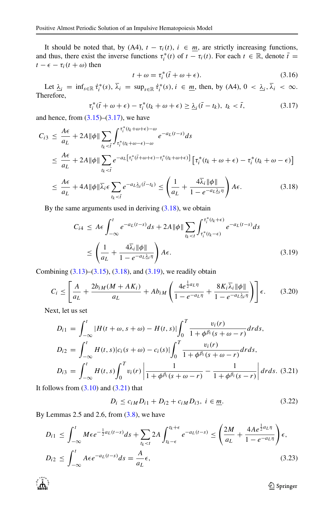It should be noted that, by (A4),  $t - \tau_i(t)$ ,  $i \in \underline{m}$ , are strictly increasing functions, and thus, there exist the inverse functions  $\tau_i^*(t)$  of  $t - \tau_i(t)$ . For each  $t \in \mathbb{R}$ , denote  $\bar{t} =$  $t - \epsilon - \tau_i(t + \omega)$  then

$$
t + \omega = \tau_i^*(\bar{t} + \omega + \epsilon). \tag{3.16}
$$

Let  $\underline{\lambda}_i$  =  $\inf_{s \in \mathbb{R}} \dot{\tau}_i^*(s)$ ,  $\lambda_i$  =  $\sup_{s \in \mathbb{R}} \dot{\tau}_i^*(s)$ ,  $i \in \underline{m}$ , then, by (A4),  $0 < \underline{\lambda}_i$ ,  $\lambda_i < \infty$ . Therefore,

<span id="page-10-0"></span>
$$
\tau_i^*(\bar{t} + \omega + \epsilon) - \tau_i^*(t_k + \omega + \epsilon) \ge \underline{\lambda}_i(\bar{t} - t_k), \ t_k < \bar{t}, \tag{3.17}
$$

and hence, from  $(3.15)$ – $(3.17)$ , we have

<span id="page-10-1"></span>
$$
C_{i3} \leq \frac{A\epsilon}{a_L} + 2A \|\phi\| \sum_{t_k < \overline{t}} \int_{\tau_i^*(t_k + \omega - \epsilon) - \omega}^{\tau_i^*(t_k + \omega + \epsilon) - \omega} e^{-a_L(t - s)} ds
$$
  

$$
\leq \frac{A\epsilon}{a_L} + 2A \|\phi\| \sum_{t_k < \overline{t}} e^{-a_L[\tau_i^*(\overline{t} + \omega + \epsilon) - \tau_i^*(t_k + \omega + \epsilon)]} [\tau_i^*(t_k + \omega + \epsilon) - \tau_i^*(t_k + \omega - \epsilon)]
$$
  

$$
\leq \frac{A\epsilon}{a_L} + 4A \|\phi\| \overline{\lambda}_i \epsilon \sum_{t_k < \overline{t}} e^{-a_L \underline{\lambda}_i(\overline{t} - t_k)} \leq \left(\frac{1}{a_L} + \frac{4\overline{\lambda}_i \|\phi\|}{1 - e^{-a_L \underline{\lambda}_i \eta}}\right) A\epsilon.
$$
 (3.18)

By the same arguments used in deriving  $(3.18)$ , we obtain

<span id="page-10-2"></span>
$$
C_{i4} \le A\epsilon \int_{-\infty}^{t} e^{-a_L(t-s)} ds + 2A \|\phi\| \sum_{t_k < t} \int_{\tau_i^*(t_k + \epsilon)}^{\tau_i^*(t_k + \epsilon)} e^{-a_L(t-s)} ds
$$
  

$$
\le \left(\frac{1}{a_L} + \frac{4\overline{\lambda}_i \|\phi\|}{1 - e^{-a_L \underline{\lambda}_i \eta}}\right) A\epsilon.
$$
 (3.19)

Combining [\(3.13\)](#page-9-3)–[\(3.15\)](#page-9-2), [\(3.18\)](#page-10-1), and [\(3.19\)](#page-10-2), we readily obtain

<span id="page-10-5"></span>
$$
C_i \leq \left[ \frac{A}{a_L} + \frac{2b_{iM}(M + AK_i)}{a_L} + Ab_{iM} \left( \frac{4e^{\frac{1}{2}a_L\eta}}{1 - e^{-a_L\eta}} + \frac{8K_i\overline{\lambda}_i \|\phi\|}{1 - e^{-a_L\lambda_i \eta}} \right) \right] \epsilon. \tag{3.20}
$$

Next, let us set

<span id="page-10-3"></span>
$$
D_{i1} = \int_{-\infty}^{t} |H(t + \omega, s + \omega) - H(t, s)| \int_{0}^{T} \frac{v_{i}(r)}{1 + \phi^{\beta_{i}}(s + \omega - r)} dr ds,
$$
  
\n
$$
D_{i2} = \int_{-\infty}^{t} H(t, s) |c_{i}(s + \omega) - c_{i}(s)| \int_{0}^{T} \frac{v_{i}(r)}{1 + \phi^{\beta_{i}}(s + \omega - r)} dr ds,
$$
  
\n
$$
D_{i3} = \int_{-\infty}^{t} H(t, s) \int_{0}^{T} v_{i}(r) \left| \frac{1}{1 + \phi^{\beta_{i}}(s + \omega - r)} - \frac{1}{1 + \phi^{\beta_{i}}(s - r)} \right| dr ds.
$$
 (3.21)

It follows from  $(3.10)$  and  $(3.21)$  that

<span id="page-10-4"></span>
$$
D_i \le c_{iM} D_{i1} + D_{i2} + c_{iM} D_{i3}, \ i \in \underline{m}.
$$
 (3.22)

By Lemmas 2.5 and 2.6, from  $(3.8)$ , we have

$$
D_{i1} \le \int_{-\infty}^{t} M\epsilon e^{-\frac{1}{2}a_L(t-s)} ds + \sum_{l_k < t} 2A \int_{l_k - \epsilon}^{l_k + \epsilon} e^{-a_L(t-s)} \le \left(\frac{2M}{a_L} + \frac{4Ae^{\frac{1}{2}a_L\eta}}{1 - e^{-a_L\eta}}\right) \epsilon,
$$
  

$$
D_{i2} \le \int_{-\infty}^{t} A\epsilon e^{-a_L(t-s)} ds = \frac{A}{a_L} \epsilon,
$$
 (3.23)

**◯** Springer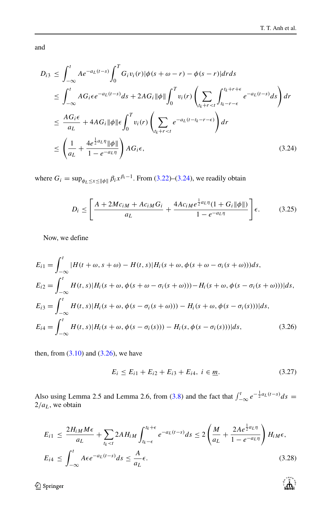्री के

and

<span id="page-11-0"></span>
$$
D_{i3} \leq \int_{-\infty}^{t} Ae^{-a_L(t-s)} \int_{0}^{T} G_i v_i(r) |\phi(s+\omega-r) - \phi(s-r)| dr ds
$$
  
\n
$$
\leq \int_{-\infty}^{t} AG_i \epsilon e^{-a_L(t-s)} ds + 2AG_i ||\phi|| \int_{0}^{T} v_i(r) \left( \sum_{t_k+r < t} \int_{t_k-r-\epsilon}^{t_k+r+\epsilon} e^{-a_L(t-s)} ds \right) dr
$$
  
\n
$$
\leq \frac{AG_i \epsilon}{a_L} + 4AG_i ||\phi|| \epsilon \int_{0}^{T} v_i(r) \left( \sum_{t_k+r < t} e^{-a_L(t-t_k-r-\epsilon)} \right) dr
$$
  
\n
$$
\leq \left( \frac{1}{a_L} + \frac{4e^{\frac{1}{2}a_L \eta} ||\phi||}{1 - e^{-a_L \eta}} \right) AG_i \epsilon,
$$
\n(3.24)

where  $G_i = \sup_{\phi_L \le x \le ||\phi||} \beta_i x^{\beta_i - 1}$ . From [\(3.22\)](#page-10-4)–[\(3.24\)](#page-11-0), we readily obtain

<span id="page-11-3"></span>
$$
D_i \le \left[ \frac{A + 2Mc_{iM} + Ac_{iM}G_i}{a_L} + \frac{4Ac_{iM}e^{\frac{1}{2}a_L\eta}(1 + G_i\|\phi\|)}{1 - e^{-a_L\eta}} \right] \epsilon.
$$
 (3.25)

Now, we define

<span id="page-11-1"></span>
$$
E_{i1} = \int_{-\infty}^{t} |H(t + \omega, s + \omega) - H(t, s)|H_i(s + \omega, \phi(s + \omega - \sigma_i(s + \omega)))ds,
$$
  
\n
$$
E_{i2} = \int_{-\infty}^{t} H(t, s)|H_i(s + \omega, \phi(s + \omega - \sigma_i(s + \omega))) - H_i(s + \omega, \phi(s - \sigma_i(s + \omega)))|ds,
$$
  
\n
$$
E_{i3} = \int_{-\infty}^{t} H(t, s)|H_i(s + \omega, \phi(s - \sigma_i(s + \omega))) - H_i(s + \omega, \phi(s - \sigma_i(s)))|ds,
$$
  
\n
$$
E_{i4} = \int_{-\infty}^{t} H(t, s)|H_i(s + \omega, \phi(s - \sigma_i(s))) - H_i(s, \phi(s - \sigma_i(s)))|ds,
$$
\n(3.26)

then, from  $(3.10)$  and  $(3.26)$ , we have

<span id="page-11-2"></span>
$$
E_i \le E_{i1} + E_{i2} + E_{i3} + E_{i4}, \ i \in \underline{m}.\tag{3.27}
$$

Also using Lemma 2.5 and Lemma 2.6, from [\(3.8\)](#page-8-1) and the fact that  $\int_{-\infty}^{t} e^{-\frac{1}{2} a_L(t-s)} ds =$ 2*/aL*, we obtain

$$
E_{i1} \le \frac{2H_{iM}M\epsilon}{a_L} + \sum_{l_k < t} 2AH_{iM} \int_{t_k-\epsilon}^{t_k+\epsilon} e^{-a_L(t-s)} ds \le 2\left(\frac{M}{a_L} + \frac{2Ae^{\frac{1}{2}a_L\eta}}{1 - e^{-a_L\eta}}\right)H_{iM}\epsilon,
$$
  

$$
E_{i4} \le \int_{-\infty}^{t} A\epsilon e^{-a_L(t-s)} ds \le \frac{A}{a_L}\epsilon.
$$
 (3.28)

2 Springer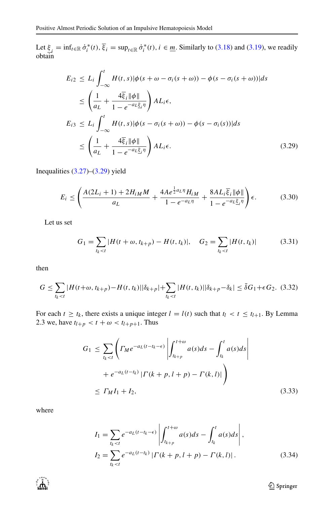Let  $\xi_i = \inf_{t \in \mathbb{R}} \dot{\sigma}_i^*(t), \xi_i = \sup_{t \in \mathbb{R}} \dot{\sigma}_i^*(t), i \in \underline{m}$ . Similarly to [\(3.18\)](#page-10-1) and [\(3.19\)](#page-10-2), we readily obtain

<span id="page-12-0"></span>
$$
E_{i2} \le L_i \int_{-\infty}^t H(t,s) |\phi(s + \omega - \sigma_i(s + \omega)) - \phi(s - \sigma_i(s + \omega))| ds
$$
  
\n
$$
\le \left(\frac{1}{a_L} + \frac{4\overline{\xi}_i |\phi|}{1 - e^{-a_L \underline{\xi}_i \eta}}\right) A L_i \epsilon,
$$
  
\n
$$
E_{i3} \le L_i \int_{-\infty}^t H(t,s) |\phi(s - \sigma_i(s + \omega)) - \phi(s - \sigma_i(s))| ds
$$
  
\n
$$
\le \left(\frac{1}{a_L} + \frac{4\overline{\xi}_i |\phi|}{1 - e^{-a_L \underline{\xi}_i \eta}}\right) A L_i \epsilon.
$$
\n(3.29)

Inequalities [\(3.27\)](#page-11-2)–[\(3.29\)](#page-12-0) yield

<span id="page-12-2"></span>
$$
E_i \le \left(\frac{A(2L_i + 1) + 2H_{iM}M}{a_L} + \frac{4Ae^{\frac{1}{2}a_L\eta}H_{iM}}{1 - e^{-a_L\eta}} + \frac{8AL_i\overline{\xi}_i\|\phi\|}{1 - e^{-a_L\underline{\xi}_i\eta}}\right)\epsilon.
$$
 (3.30)

Let us set

$$
G_1 = \sum_{t_k < t} |H(t + \omega, t_{k+p}) - H(t, t_k)|, \quad G_2 = \sum_{t_k < t} |H(t, t_k)| \tag{3.31}
$$

then

$$
G \leq \sum_{t_k < t} |H(t + \omega, t_{k+p}) - H(t, t_k)||\delta_{k+p}| + \sum_{t_k < t} |H(t, t_k)||\delta_{k+p} - \delta_k| \leq \bar{\delta}G_1 + \epsilon G_2. \tag{3.32}
$$

For each  $t \geq t_k$ , there exists a unique integer  $l = l(t)$  such that  $t_l < t \leq t_{l+1}$ . By Lemma 2.3 we, have  $t_{l+p} < t + \omega < t_{l+p+1}$ . Thus

<span id="page-12-1"></span>
$$
G_1 \leq \sum_{t_k < t} \left( \Gamma_M e^{-a_L(t - t_k - \epsilon)} \left| \int_{t_{k+p}}^{t + \omega} a(s) ds - \int_{t_k}^t a(s) ds \right| + e^{-a_L(t - t_k)} \left| \Gamma(k + p, l + p) - \Gamma(k, l) \right| \right) \leq \Gamma_M I_1 + I_2,\tag{3.33}
$$

where

$$
I_{1} = \sum_{t_{k} < t} e^{-a_{L}(t - t_{k} - \epsilon)} \left| \int_{t_{k+p}}^{t + \omega} a(s) ds - \int_{t_{k}}^{t} a(s) ds \right|,
$$
  
\n
$$
I_{2} = \sum_{t_{k} < t} e^{-a_{L}(t - t_{k})} | \Gamma(k+p, l+p) - \Gamma(k, l) |.
$$
\n(3.34)



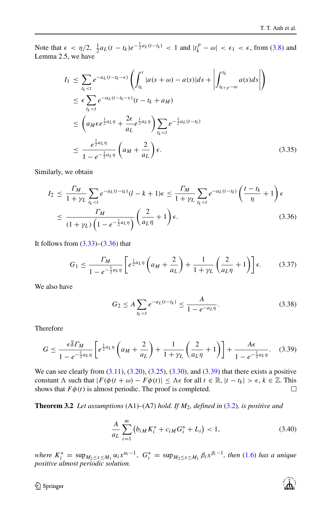Note that  $\epsilon < \eta/2$ ,  $\frac{1}{2} a_L(t - t_k) e^{-\frac{1}{2} a_L(t - t_k)}$  < 1 and  $|t_k^p - \omega| < \epsilon_1 < \epsilon$ , from [\(3.8\)](#page-8-1) and Lemma 2.5, we have

$$
I_1 \leq \sum_{l_k < t} e^{-a_L(t - t_k - \epsilon)} \left( \int_{t_k}^t |a(s + \omega) - a(s)| ds + \left| \int_{t_{k+p} - \omega}^{t_k} a(s) ds \right| \right)
$$
\n
$$
\leq \epsilon \sum_{l_k < t} e^{-a_L(t - t_k - \epsilon)} (t - t_k + a_M)
$$
\n
$$
\leq \left( a_M \epsilon e^{\frac{1}{2} a_L \eta} + \frac{2\epsilon}{a_L} e^{\frac{1}{2} a_L \eta} \right) \sum_{l_k < t} e^{-\frac{1}{2} a_L(t - t_k)}
$$
\n
$$
\leq \frac{e^{\frac{1}{2} a_L \eta}}{1 - e^{-\frac{1}{2} a_L \eta}} \left( a_M + \frac{2}{a_L} \right) \epsilon. \tag{3.35}
$$

Similarly, we obtain

<span id="page-13-0"></span>
$$
I_2 \le \frac{\Gamma_M}{1 + \gamma_L} \sum_{t_k < t} e^{-a_L(t - t_k)} (l - k + 1) \epsilon \le \frac{\Gamma_M}{1 + \gamma_L} \sum_{t_k < t} e^{-a_L(t - t_k)} \left( \frac{t - t_k}{\eta} + 1 \right) \epsilon
$$
\n
$$
\le \frac{\Gamma_M}{(1 + \gamma_L) \left( 1 - e^{-\frac{1}{2} a_L \eta} \right)} \left( \frac{2}{a_L \eta} + 1 \right) \epsilon. \tag{3.36}
$$

It follows from  $(3.33)$ – $(3.36)$  that

$$
G_1 \le \frac{\Gamma_M}{1 - e^{-\frac{1}{2}a_L\eta}} \left[ e^{\frac{1}{2}a_L\eta} \left( a_M + \frac{2}{a_L} \right) + \frac{1}{1 + \gamma_L} \left( \frac{2}{a_L\eta} + 1 \right) \right] \epsilon. \tag{3.37}
$$

We also have

$$
G_2 \le A \sum_{t_k < t} e^{-a_L(t - t_k)} \le \frac{A}{1 - e^{-a_L \eta}}.\tag{3.38}
$$

Therefore

<span id="page-13-1"></span>
$$
G \le \frac{\epsilon \overline{\delta} \Gamma_M}{1 - e^{-\frac{1}{2} a_L \eta}} \left[ e^{\frac{1}{2} a_L \eta} \left( a_M + \frac{2}{a_L} \right) + \frac{1}{1 + \gamma_L} \left( \frac{2}{a_L \eta} + 1 \right) \right] + \frac{A \epsilon}{1 - e^{-\frac{1}{2} a_L \eta}}. \tag{3.39}
$$

We can see clearly from  $(3.11)$ ,  $(3.20)$ ,  $(3.25)$ ,  $(3.30)$ , and  $(3.39)$  that there exists a positive constant  $\Lambda$  such that  $|F(\phi(t + \omega) - F\phi(t)| \leq \Lambda \epsilon$  for all  $t \in \mathbb{R}, |t - t_k| > \epsilon, k \in \mathbb{Z}$ . This shows that  $F\phi(t)$  is almost periodic. The proof is completed. shows that  $F\phi(t)$  is almost periodic. The proof is completed.

**Theorem 3.2** *Let assumptions* (A1)–(A7) *hold. If M*2*, defined in* [\(3.2\)](#page-7-3)*, is positive and*

<span id="page-13-2"></span>
$$
\frac{A}{a_L} \sum_{i=1}^{m} \left( b_{iM} K_i^* + c_{iM} G_i^* + L_i \right) < 1,\tag{3.40}
$$

where  $K_i^* = \sup_{M_2 \le x \le M_1} \alpha_i x^{\alpha_i - 1}$ ,  $G_i^* = \sup_{M_2 \le x \le M_1} \beta_i x^{\beta_i - 1}$ , then [\(1.6\)](#page-2-1) has a unique positive almost periodic solution.

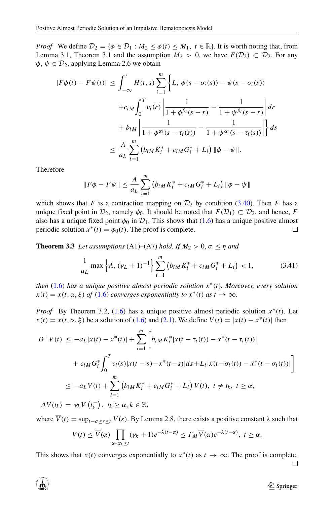*Proof* We define  $\mathcal{D}_2 = \{\phi \in \mathcal{D}_1 : M_2 \leq \phi(t) \leq M_1, t \in \mathbb{R}\}$ . It is worth noting that, from Lemma 3.1, Theorem 3.1 and the assumption  $M_2 > 0$ , we have  $F(\mathcal{D}_2) \subset \mathcal{D}_2$ . For any  $\phi, \psi \in \mathcal{D}_2$ , applying Lemma 2.6 we obtain

$$
|F\phi(t) - F\psi(t)| \le \int_{-\infty}^{t} H(t, s) \sum_{i=1}^{m} \left\{ L_i |\phi(s - \sigma_i(s)) - \psi(s - \sigma_i(s))| + c_{iM} \int_{0}^{T} v_i(r) \left| \frac{1}{1 + \phi^{\beta_i}(s - r)} - \frac{1}{1 + \psi^{\beta_i}(s - r)} \right| dr + b_{iM} \left| \frac{1}{1 + \phi^{\alpha_i}(s - \tau_i(s))} - \frac{1}{1 + \psi^{\alpha_i}(s - \tau_i(s))} \right| \right\} ds
$$
  

$$
\le \frac{A}{a_L} \sum_{i=1}^{m} \left( b_{iM} K_i^* + c_{iM} G_i^* + L_i \right) ||\phi - \psi||.
$$

Therefore

$$
||F\phi - F\psi|| \leq \frac{A}{a_L} \sum_{i=1}^{m} (b_{iM}K_i^* + c_{iM}G_i^* + L_i) ||\phi - \psi||
$$

which shows that *F* is a contraction mapping on  $\mathcal{D}_2$  by condition [\(3.40\)](#page-13-2). Then *F* has a unique fixed point in  $\mathcal{D}_2$ , namely  $\phi_0$ . It should be noted that  $F(\mathcal{D}_1) \subset \mathcal{D}_2$ , and hence, *F* also has a unique fixed point  $\phi_0$  in  $\mathcal{D}_1$ . This shows that [\(1.6\)](#page-2-1) has a unique positive almost periodic solution  $x^*(t) = \phi_0(t)$ . The proof is complete. periodic solution  $x^*(t) = \phi_0(t)$ . The proof is complete.

**Theorem 3.3** *Let assumptions* (A1)–(A7) *hold. If*  $M_2 > 0$ ,  $\sigma \le \eta$  *and* 

$$
\frac{1}{a_L} \max\left\{A, (\gamma_L + 1)^{-1}\right\} \sum_{i=1}^m \left(b_{iM} K_i^* + c_{iM} G_i^* + L_i\right) < 1,\tag{3.41}
$$

*then* [\(1.6\)](#page-2-1) *has a unique positive almost periodic solution x*∗*(t). Moreover, every solution*  $x(t) = x(t, \alpha, \xi)$  *of* [\(1.6\)](#page-2-1) *converges exponentially to*  $x^*(t)$  *as*  $t \to \infty$ *.* 

*Proof* By Theorem 3.2, [\(1.6\)](#page-2-1) has a unique positive almost periodic solution *x*∗*(t)*. Let  $x(t) = x(t, \alpha, \xi)$  be a solution of [\(1.6\)](#page-2-1) and [\(2.1\)](#page-5-0). We define  $V(t) = |x(t) - x^*(t)|$  then

$$
D^{+}V(t) \leq -a_{L}|x(t) - x^{*}(t)| + \sum_{i=1}^{m} \left[ b_{iM}K_{i}^{*}|x(t - \tau_{i}(t)) - x^{*}(t - \tau_{i}(t))| + c_{iM}G_{i}^{*} \int_{0}^{T} v_{i}(s)|x(t - s) - x^{*}(t - s)|ds + L_{i}|x(t - \sigma_{i}(t)) - x^{*}(t - \sigma_{i}(t))| \right]
$$
  
\n
$$
\leq -a_{L}V(t) + \sum_{i=1}^{m} (b_{iM}K_{i}^{*} + c_{iM}G_{i}^{*} + L_{i}) \overline{V}(t), \ t \neq t_{k}, \ t \geq \alpha,
$$
  
\n
$$
\Delta V(t_{k}) = \gamma_{k}V(t_{k}^{-}), \ t_{k} \geq \alpha, k \in \mathbb{Z},
$$

where  $\overline{V}(t) = \sup_{t-\sigma \leq s \leq t} V(s)$ . By Lemma 2.8, there exists a positive constant  $\lambda$  such that

$$
V(t) \leq \overline{V}(\alpha) \prod_{\alpha < t_k \leq t} (\gamma_k + 1) e^{-\lambda(t - \alpha)} \leq \Gamma_M \overline{V}(\alpha) e^{-\lambda(t - \alpha)}, \ t \geq \alpha.
$$

This shows that *x*(*t*) converges exponentially to  $x^*(t)$  as  $t \to \infty$ . The proof is complete.

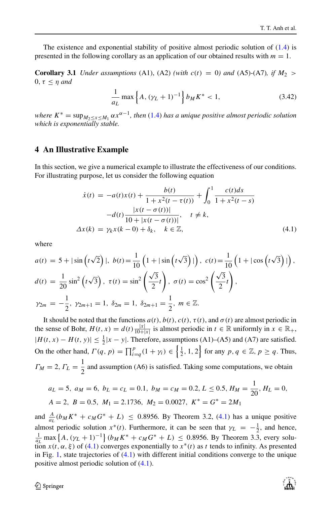The existence and exponential stability of positive almost periodic solution of  $(1.4)$  is presented in the following corollary as an application of our obtained results with  $m = 1$ .

**Corollary 3.1** *Under assumptions* (A1), (A2) *(with c(t)* = 0*) and* (A5)-(A7)*, if*  $M_2$ 0*, τ* ≤ *η and*

$$
\frac{1}{a_L} \max\left\{A, (\gamma_L + 1)^{-1}\right\} b_M K^* < 1,\tag{3.42}
$$

*where*  $K^* = \sup_{M_2 \le x \le M_1} \alpha x^{\alpha-1}$ , *then* [\(1.4\)](#page-1-0) *has a unique positive almost periodic solution which is exponentially stable.*

#### <span id="page-15-0"></span>**4 An Illustrative Example**

In this section, we give a numerical example to illustrate the effectiveness of our conditions. For illustrating purpose, let us consider the following equation

<span id="page-15-1"></span>
$$
\dot{x}(t) = -a(t)x(t) + \frac{b(t)}{1 + x^2(t - \tau(t))} + \int_0^1 \frac{c(t)ds}{1 + x^2(t - s)}
$$

$$
-d(t)\frac{|x(t - \sigma(t))|}{10 + |x(t - \sigma(t))|}, \quad t \neq k,
$$

$$
\Delta x(k) = \gamma_k x(k - 0) + \delta_k, \quad k \in \mathbb{Z}, \tag{4.1}
$$

where

$$
a(t) = 5 + |\sin(t\sqrt{2})|, \quad b(t) = \frac{1}{10} \left( 1 + |\sin(t\sqrt{3})| \right), \quad c(t) = \frac{1}{10} \left( 1 + |\cos(t\sqrt{3})| \right),
$$
  
\n
$$
d(t) = \frac{1}{20} \sin^2(t\sqrt{3}), \quad \tau(t) = \sin^2\left(\frac{\sqrt{3}}{2}t\right), \quad \sigma(t) = \cos^2\left(\frac{\sqrt{3}}{2}t\right),
$$
  
\n
$$
\gamma_{2m} = -\frac{1}{2}, \quad \gamma_{2m+1} = 1, \quad \delta_{2m} = 1, \quad \delta_{2m+1} = \frac{1}{2}, \quad m \in \mathbb{Z}.
$$

It should be noted that the functions  $a(t)$ ,  $b(t)$ ,  $c(t)$ ,  $\tau(t)$ , and  $\sigma(t)$  are almost periodic in the sense of Bohr,  $H(t, x) = d(t) \frac{|x|}{10+|x|}$  is almost periodic in  $t \in \mathbb{R}$  uniformly in  $x \in \mathbb{R}_+$ ,  $|H(t, x) - H(t, y)| \leq \frac{1}{2}|x - y|$ . Therefore, assumptions (A1)–(A5) and (A7) are satisfied. On the other hand,  $\Gamma(q, p) = \prod_{i=q}^{p} (1 + \gamma_i) \in \left\{ \frac{1}{2}, 1, 2 \right\}$  for any  $p, q \in \mathbb{Z}, p \ge q$ . Thus,  $\Gamma_M = 2$ ,  $\Gamma_L = \frac{1}{2}$  and assumption (A6) is satisfied. Taking some computations, we obtain

$$
a_L = 5
$$
,  $a_M = 6$ ,  $b_L = c_L = 0.1$ ,  $b_M = c_M = 0.2$ ,  $L \le 0.5$ ,  $H_M = \frac{1}{20}$ ,  $H_L = 0$ ,  
 $A = 2$ ,  $B = 0.5$ ,  $M_1 = 2.1736$ ,  $M_2 = 0.0027$ ,  $K^* = G^* = 2M_1$ 

and  $\frac{A}{a_L}(b_M K^* + c_M G^* + L) \leq 0.8956$ . By Theorem 3.2, [\(4.1\)](#page-15-1) has a unique positive almost periodic solution  $x^*(t)$ . Furthermore, it can be seen that  $\gamma_L = -\frac{1}{2}$ , and hence,  $\frac{1}{a_L}$  max  $\{A, (\gamma_L + 1)^{-1}\}$   $(b_M K^* + c_M G^* + L) \leq 0.8956$ . By Theorem 3.3, every solution  $x(t, \alpha, \xi)$  of [\(4.1\)](#page-15-1) converges exponentially to  $x^*(t)$  as t tends to infinity. As presented in Fig. [1,](#page-16-7) state trajectories of [\(4.1\)](#page-15-1) with different initial conditions converge to the unique positive almost periodic solution of [\(4.1\)](#page-15-1).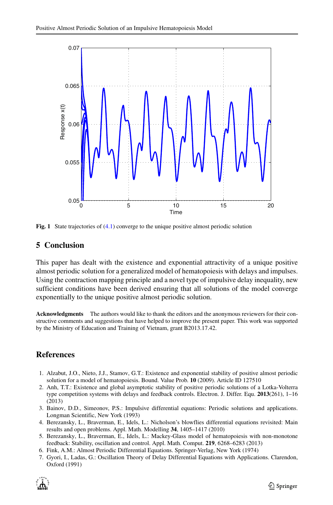<span id="page-16-7"></span>

**Fig. 1** State trajectories of [\(4.1\)](#page-15-1) converge to the unique positive almost periodic solution

### **5 Conclusion**

This paper has dealt with the existence and exponential attractivity of a unique positive almost periodic solution for a generalized model of hematopoiesis with delays and impulses. Using the contraction mapping principle and a novel type of impulsive delay inequality, new sufficient conditions have been derived ensuring that all solutions of the model converge exponentially to the unique positive almost periodic solution.

**Acknowledgments** The authors would like to thank the editors and the anonymous reviewers for their constructive comments and suggestions that have helped to improve the present paper. This work was supported by the Ministry of Education and Training of Vietnam, grant B2013.17.42.

### **References**

- <span id="page-16-5"></span>1. Alzabut, J.O., Nieto, J.J., Stamov, G.T.: Existence and exponential stability of positive almost periodic solution for a model of hematopoiesis. Bound. Value Prob. **10** (2009). Article ID 127510
- <span id="page-16-2"></span>2. Anh, T.T.: Existence and global asymptotic stability of positive periodic solutions of a Lotka-Volterra type competition systems with delays and feedback controls. Electron. J. Differ. Equ. **2013**(261), 1–16 (2013)
- <span id="page-16-4"></span>3. Bainov, D.D., Simeonov, P.S.: Impulsive differential equations: Periodic solutions and applications. Longman Scientific, New York (1993)
- <span id="page-16-6"></span>4. Berezansky, L., Braverman, E., Idels, L.: Nicholson's blowflies differential equations revisited: Main results and open problems. Appl. Math. Modelling **34**, 1405–1417 (2010)
- <span id="page-16-0"></span>5. Berezansky, L., Braverman, E., Idels, L.: Mackey-Glass model of hematopoiesis with non-monotone feedback: Stability, oscillation and control. Appl. Math. Comput. **219**, 6268–6283 (2013)
- <span id="page-16-3"></span>6. Fink, A.M.: Almost Periodic Differential Equations. Springer-Verlag, New York (1974)
- <span id="page-16-1"></span>7. Gyori, I., Ladas, G.: Oscillation Theory of Delay Differential Equations with Applications. Clarendon, Oxford (1991)